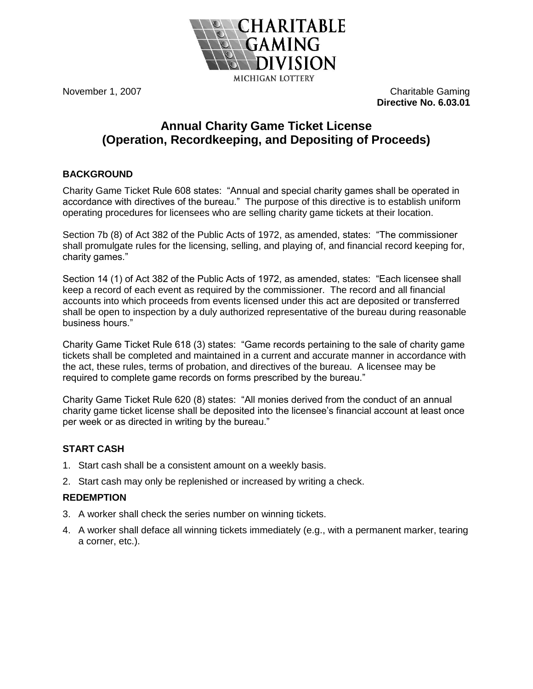

November 1, 2007 **Charitable Gaming Directive No. 6.03.01**

# **Annual Charity Game Ticket License (Operation, Recordkeeping, and Depositing of Proceeds)**

### **BACKGROUND**

Charity Game Ticket Rule 608 states: "Annual and special charity games shall be operated in accordance with directives of the bureau." The purpose of this directive is to establish uniform operating procedures for licensees who are selling charity game tickets at their location.

Section 7b (8) of Act 382 of the Public Acts of 1972, as amended, states: "The commissioner shall promulgate rules for the licensing, selling, and playing of, and financial record keeping for, charity games."

Section 14 (1) of Act 382 of the Public Acts of 1972, as amended, states: "Each licensee shall keep a record of each event as required by the commissioner. The record and all financial accounts into which proceeds from events licensed under this act are deposited or transferred shall be open to inspection by a duly authorized representative of the bureau during reasonable business hours."

Charity Game Ticket Rule 618 (3) states: "Game records pertaining to the sale of charity game tickets shall be completed and maintained in a current and accurate manner in accordance with the act, these rules, terms of probation, and directives of the bureau. A licensee may be required to complete game records on forms prescribed by the bureau."

Charity Game Ticket Rule 620 (8) states: "All monies derived from the conduct of an annual charity game ticket license shall be deposited into the licensee's financial account at least once per week or as directed in writing by the bureau."

### **START CASH**

- 1. Start cash shall be a consistent amount on a weekly basis.
- 2. Start cash may only be replenished or increased by writing a check.

#### **REDEMPTION**

- 3. A worker shall check the series number on winning tickets.
- 4. A worker shall deface all winning tickets immediately (e.g., with a permanent marker, tearing a corner, etc.).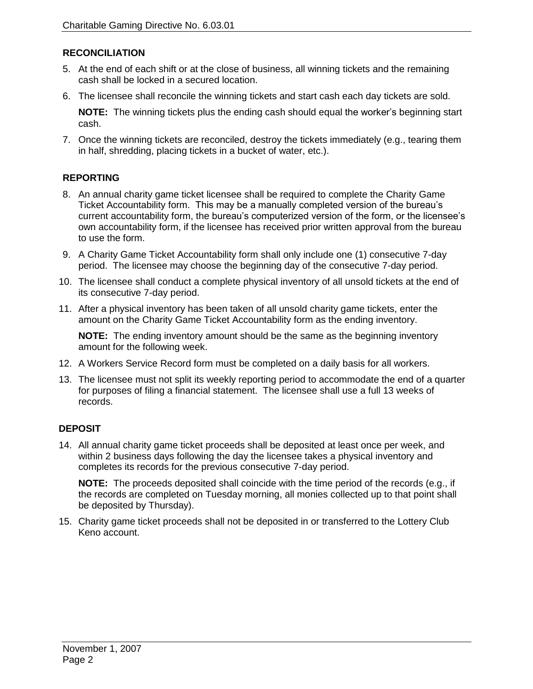## **RECONCILIATION**

- 5. At the end of each shift or at the close of business, all winning tickets and the remaining cash shall be locked in a secured location.
- 6. The licensee shall reconcile the winning tickets and start cash each day tickets are sold.

**NOTE:** The winning tickets plus the ending cash should equal the worker's beginning start cash.

7. Once the winning tickets are reconciled, destroy the tickets immediately (e.g., tearing them in half, shredding, placing tickets in a bucket of water, etc.).

### **REPORTING**

- 8. An annual charity game ticket licensee shall be required to complete the Charity Game Ticket Accountability form. This may be a manually completed version of the bureau's current accountability form, the bureau's computerized version of the form, or the licensee's own accountability form, if the licensee has received prior written approval from the bureau to use the form.
- 9. A Charity Game Ticket Accountability form shall only include one (1) consecutive 7-day period. The licensee may choose the beginning day of the consecutive 7-day period.
- 10. The licensee shall conduct a complete physical inventory of all unsold tickets at the end of its consecutive 7-day period.
- 11. After a physical inventory has been taken of all unsold charity game tickets, enter the amount on the Charity Game Ticket Accountability form as the ending inventory.

**NOTE:** The ending inventory amount should be the same as the beginning inventory amount for the following week.

- 12. A Workers Service Record form must be completed on a daily basis for all workers.
- 13. The licensee must not split its weekly reporting period to accommodate the end of a quarter for purposes of filing a financial statement. The licensee shall use a full 13 weeks of records.

### **DEPOSIT**

14. All annual charity game ticket proceeds shall be deposited at least once per week, and within 2 business days following the day the licensee takes a physical inventory and completes its records for the previous consecutive 7-day period.

**NOTE:** The proceeds deposited shall coincide with the time period of the records (e.g., if the records are completed on Tuesday morning, all monies collected up to that point shall be deposited by Thursday).

15. Charity game ticket proceeds shall not be deposited in or transferred to the Lottery Club Keno account.